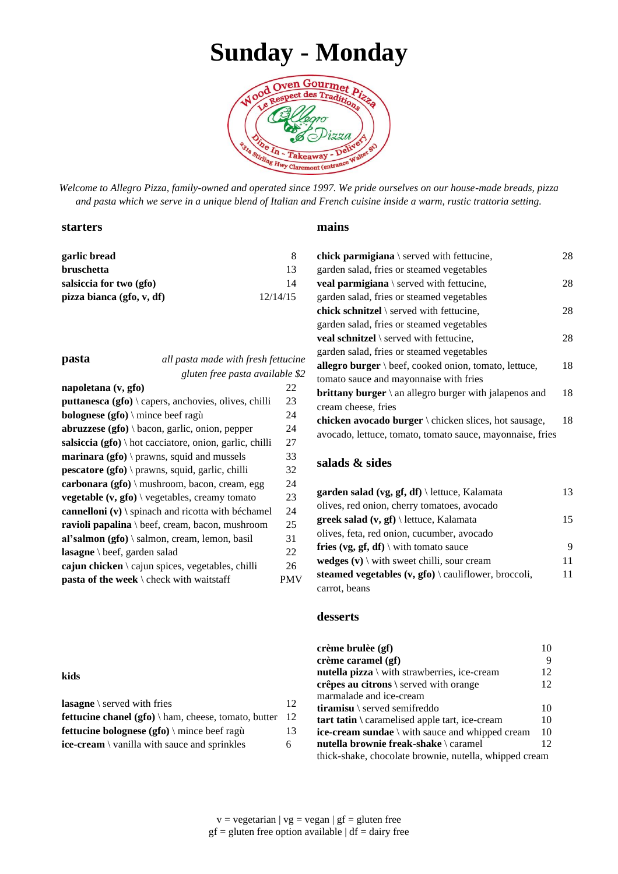# **Sunday - Monday**



*Welcome to Allegro Pizza, family-owned and operated since 1997. We pride ourselves on our house-made breads, pizza and pasta which we serve in a unique blend of Italian and French cuisine inside a warm, rustic trattoria setting.*

#### **starters**

| garlic bread              |          |
|---------------------------|----------|
| <b>bruschetta</b>         | 13       |
| salsiccia for two (gfo)   | 14       |
| pizza bianca (gfo, v, df) | 12/14/15 |

**pasta** *all pasta made with fresh fettucine gluten free pasta available \$2*

| napoletana (v, gfo)                                               | 22  |
|-------------------------------------------------------------------|-----|
| puttanesca (gfo) \ capers, anchovies, olives, chilli              | 23  |
| <b>bolognese</b> ( $gfo$ ) \ mince beef ragu                      | 24  |
| <b>abruzzese</b> ( <b>gfo</b> ) \ bacon, garlic, onion, pepper    | 24  |
| salsiccia (gfo) $\cdot$ hot cacciatore, onion, garlic, chilli     | 27  |
| <b>marinara</b> ( $gfo$ ) \ prawns, squid and mussels             | 33  |
| <b>pescatore</b> ( $gfo$ ) \ prawns, squid, garlic, chilli        | 32  |
| carbonara (gfo) \ mushroom, bacon, cream, egg                     | 24  |
| <b>vegetable</b> $(v, gfo) \backslash$ vegetables, creamy tomato  | 23  |
| cannelloni $(v)$ \ spinach and ricotta with béchamel              | 24  |
| ravioli papalina $\beta$ beef, cream, bacon, mushroom             | 25  |
| al'salmon (gfo) $\lambda$ salmon, cream, lemon, basil             | 31  |
| <b>lasagne</b> \ beef, garden salad                               | 22  |
| <b>cajun chicken</b> $\setminus$ cajun spices, vegetables, chilli | 26  |
| <b>pasta of the week</b> $\backslash$ check with waitstaff        | PMV |

#### **kids**

| <b>lasagne</b> $\setminus$ served with fries                | 12 |
|-------------------------------------------------------------|----|
| <b>fettucine chanel (gfo)</b> \ ham, cheese, tomato, butter | 12 |
| fettucine bolognese $(gfo) \setminus$ mince beef ragù       | 13 |
| <b>ice-cream</b> \ vanilla with sauce and sprinkles         | 6. |

#### **mains**

| <b>chick parmigiana</b> $\setminus$ served with fettucine,              | 28 |
|-------------------------------------------------------------------------|----|
| garden salad, fries or steamed vegetables                               |    |
| <b>veal parmigiana</b> $\setminus$ served with fettucine,               | 28 |
| garden salad, fries or steamed vegetables                               |    |
| <b>chick schnitzel</b> $\setminus$ served with fettucine,               | 28 |
| garden salad, fries or steamed vegetables                               |    |
| <b>veal schnitzel</b> $\setminus$ served with fettucine,                | 28 |
| garden salad, fries or steamed vegetables                               |    |
| <b>allegro burger</b> $\beta$ beef, cooked onion, tomato, lettuce,      | 18 |
| tomato sauce and mayonnaise with fries                                  |    |
| <b>brittany burger</b> $\langle$ an allegro burger with jalapenos and   | 18 |
| cream cheese, fries                                                     |    |
| <b>chicken avocado burger</b> $\backslash$ chicken slices, hot sausage, | 18 |
| avocado, lettuce, tomato, tomato sauce, mayonnaise, fries               |    |

### **salads & sides**

| garden salad (vg, gf, df) $\let$ ttuce, Kalamata                            | 13 |
|-----------------------------------------------------------------------------|----|
| olives, red onion, cherry tomatoes, avocado                                 |    |
| <b>greek salad</b> $(v, gf) \$ lettuce, Kalamata                            | 15 |
| olives, feta, red onion, cucumber, avocado                                  |    |
| <b>fries (vg, gf, df)</b> \ with tomato sauce                               | 9  |
| <b>wedges</b> $(v) \setminus$ with sweet chilli, sour cream                 | 11 |
| steamed vegetables $(v, gfo) \setminus \text{caulflower}, \text{broccoli},$ | 11 |
| carrot, beans                                                               |    |

#### **desserts**

| crème brulèe (gf)                                             |                 |
|---------------------------------------------------------------|-----------------|
| crème caramel (gf)                                            | 9               |
| <b>nutella pizza</b> $\setminus$ with strawberries, ice-cream | 12              |
| crêpes au citrons \ served with orange                        | 12              |
| marmalade and ice-cream                                       |                 |
| <b>tiramisu</b> \ served semifreddo                           | 10              |
| tart tatin \ caramelised apple tart, ice-cream                | 10              |
| ice-cream sundae \ with sauce and whipped cream               | 10              |
| <b>nutella brownie freak-shake</b> \ caramel                  | 12 <sub>1</sub> |
| thick-shake, chocolate brownie, nutella, whipped cream        |                 |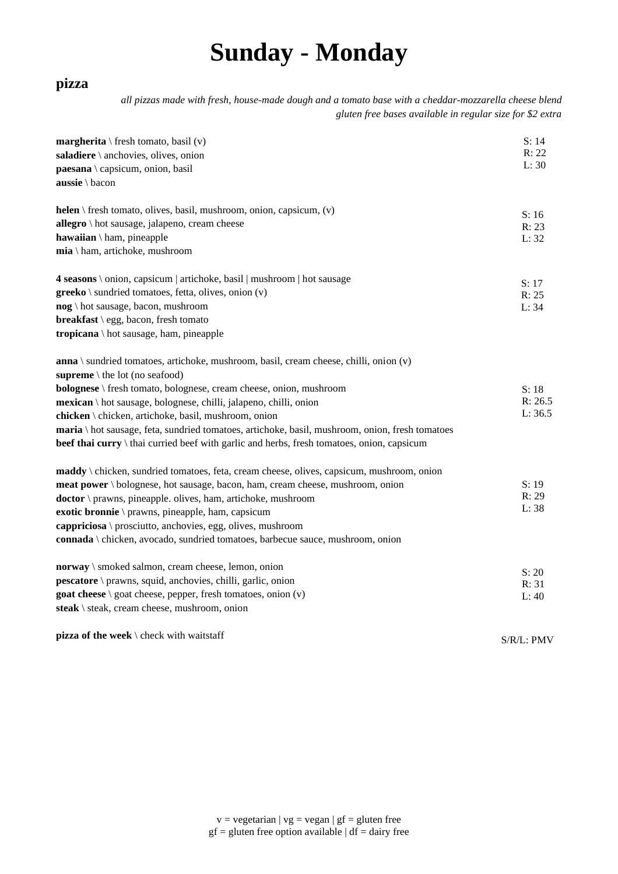# **Sunday - Monday**

## **pizza**

*all pizzas made with fresh, house-made dough and a tomato base with a cheddar-mozzarella cheese blend gluten free bases available in regular size for \$2 extra*

| <b>margherita</b> \ fresh tomato, basil $(v)$                                                   | S: 14          |
|-------------------------------------------------------------------------------------------------|----------------|
| saladiere \ anchovies, olives, onion                                                            | R: 22<br>L: 30 |
| paesana \ capsicum, onion, basil                                                                |                |
| aussie \ bacon                                                                                  |                |
| <b>helen</b> \ fresh tomato, olives, basil, mushroom, onion, capsicum, $(v)$                    | S: 16          |
| allegro \ hot sausage, jalapeno, cream cheese                                                   | R: 23          |
| hawaiian \ ham, pineapple                                                                       | L: 32          |
| $mia \setminus ham$ , artichoke, mushroom                                                       |                |
| 4 seasons \ onion, capsicum   artichoke, basil   mushroom   hot sausage                         | S: 17          |
| $greeko \setminus$ sundried tomatoes, fetta, olives, onion (v)                                  | R: 25          |
| nog \ hot sausage, bacon, mushroom                                                              | L: 34          |
| <b>breakfast</b> $\legg$ , bacon, fresh tomato                                                  |                |
| <b>tropicana</b> \ hot sausage, ham, pineapple                                                  |                |
| $anna$ \ sundried tomatoes, artichoke, mushroom, basil, cream cheese, chilli, onion $(v)$       |                |
| supreme $\backslash$ the lot (no seafood)                                                       |                |
| <b>bolognese</b> \ fresh tomato, bolognese, cream cheese, onion, mushroom                       | S: 18          |
| mexican \ hot sausage, bolognese, chilli, jalapeno, chilli, onion                               | R: 26.5        |
| chicken \ chicken, artichoke, basil, mushroom, onion                                            | L: 36.5        |
| maria \ hot sausage, feta, sundried tomatoes, artichoke, basil, mushroom, onion, fresh tomatoes |                |
| beef thai curry \ thai curried beef with garlic and herbs, fresh tomatoes, onion, capsicum      |                |
| maddy \ chicken, sundried tomatoes, feta, cream cheese, olives, capsicum, mushroom, onion       |                |
| meat power \ bolognese, hot sausage, bacon, ham, cream cheese, mushroom, onion                  | S: 19          |
| doctor \ prawns, pineapple. olives, ham, artichoke, mushroom                                    | R: 29          |
| exotic bronnie \ prawns, pineapple, ham, capsicum                                               | L: 38          |
| cappriciosa \ prosciutto, anchovies, egg, olives, mushroom                                      |                |
| connada \ chicken, avocado, sundried tomatoes, barbecue sauce, mushroom, onion                  |                |
| norway \ smoked salmon, cream cheese, lemon, onion                                              | S: 20          |
| pescatore \ prawns, squid, anchovies, chilli, garlic, onion                                     | R: 31          |
| goat cheese $\setminus$ goat cheese, pepper, fresh tomatoes, onion $(v)$                        | L:40           |
| steak \ steak, cream cheese, mushroom, onion                                                    |                |
| pizza of the week $\backslash$ check with waitstaff                                             | S/R/L: PMV     |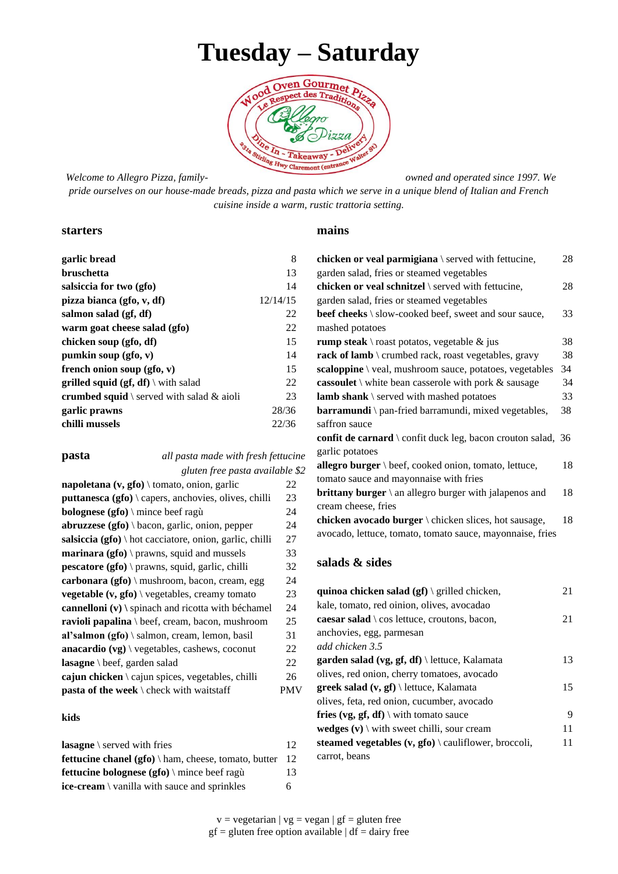# **Tuesday – Saturday**



#### *Welcome to Allegro Pizza, family- owned and operated since 1997. We*

*pride ourselves on our house-made breads, pizza and pasta which we serve in a unique blend of Italian and French cuisine inside a warm, rustic trattoria setting.*

#### **starters**

| garlic bread                                        | 8        |
|-----------------------------------------------------|----------|
| bruschetta                                          | 13       |
| salsiccia for two (gfo)                             | 14       |
| pizza bianca (gfo, v, df)                           | 12/14/15 |
| salmon salad (gf, df)                               | 22       |
| warm goat cheese salad (gfo)                        | 22       |
| chicken soup (gfo, df)                              | 15       |
| pumkin soup $(gfo, v)$                              | 14       |
| french onion soup $(gfo, v)$                        | 15       |
| <b>grilled squid (gf, df)</b> $\forall$ with salad  | 22       |
| <b>crumbed squid</b> \ served with salad $\&$ aioli | 23       |
| garlic prawns                                       | 28/36    |
| chilli mussels                                      | 22/36    |
|                                                     |          |

### **pasta** *all pasta made with fresh fettucine gluten free pasta available \$2*

| napoletana $(v, gfo) \setminus$ tomato, onion, garlic            | 22  |
|------------------------------------------------------------------|-----|
| puttanesca (gfo) \ capers, anchovies, olives, chilli             | 23  |
| <b>bolognese</b> ( <b>gfo</b> ) \ mince beef ragu                | 24  |
| $abruzzese (gfo) \backslash bacon, garlic, onion, pepper$        | 24  |
| salsiccia (gfo) \ hot cacciatore, onion, garlic, chilli          | 27  |
| <b>marinara</b> ( $gfo$ ) \ prawns, squid and mussels            | 33  |
| pescatore (gfo) \ prawns, squid, garlic, chilli                  | 32  |
| carbonara $(gfo) \setminus$ mushroom, bacon, cream, egg          | 24  |
| <b>vegetable</b> $(v, gfo) \backslash$ vegetables, creamy tomato | 23  |
| cannelloni $(v)$ \ spinach and ricotta with béchamel             | 24  |
| <b>ravioli papalina</b> \ beef, cream, bacon, mushroom           | 25  |
| al'salmon (gfo) $\lambda$ salmon, cream, lemon, basil            | 31  |
| <b>anacardio</b> $(vg) \setminus v$ egetables, cashews, coconut  | 22  |
| lasagne \ beef, garden salad                                     | 22  |
| cajun chicken $\setminus$ cajun spices, vegetables, chilli       | 26  |
| pasta of the week \ check with waitstaff                         | PMV |
|                                                                  |     |

#### **kids**

| <b>lasagne</b> $\setminus$ served with fries                | 12 |
|-------------------------------------------------------------|----|
| <b>fettucine chanel (gfo)</b> \ ham, cheese, tomato, butter | 12 |
| fettucine bolognese (gfo) \ mince beef ragù                 | 13 |
| <b>ice-cream</b> \ vanilla with sauce and sprinkles         | 6. |

#### **mains**

| chicken or veal parmigiana $\setminus$ served with fettucine,         | 28 |
|-----------------------------------------------------------------------|----|
| garden salad, fries or steamed vegetables                             |    |
| chicken or veal schnitzel \ served with fettucine,                    | 28 |
| garden salad, fries or steamed vegetables                             |    |
| beef cheeks \ slow-cooked beef, sweet and sour sauce,                 | 33 |
| mashed potatoes                                                       |    |
| <b>rump steak</b> \ roast potatos, vegetable $\&$ jus                 | 38 |
| <b>rack of lamb</b> \ crumbed rack, roast vegetables, gravy           | 38 |
| scaloppine \ veal, mushroom sauce, potatoes, vegetables               | 34 |
| <b>cassoulet</b> \ white bean casserole with pork $\&$ sausage        | 34 |
| lamb shank \ served with mashed potatoes                              | 33 |
| <b>barramundi</b> \ pan-fried barramundi, mixed vegetables,           | 38 |
| saffron sauce                                                         |    |
| confit de carnard \ confit duck leg, bacon crouton salad, 36          |    |
| garlic potatoes                                                       |    |
| allegro burger \ beef, cooked onion, tomato, lettuce,                 | 18 |
| tomato sauce and mayonnaise with fries                                |    |
| <b>brittany burger</b> $\langle$ an allegro burger with jalapenos and | 18 |
| cream cheese, fries                                                   |    |
| chicken avocado burger $\cdot$ chicken slices, hot sausage,           | 18 |
| avocado, lettuce, tomato, tomato sauce, mayonnaise, fries             |    |
|                                                                       |    |

### **salads & sides**

| quinoa chicken salad $(gf) \$ grilled chicken,                              | 21 |
|-----------------------------------------------------------------------------|----|
| kale, tomato, red oinion, olives, avocadao                                  |    |
| <b>caesar salad</b> $\cos$ lettuce, croutons, bacon,                        | 21 |
| anchovies, egg, parmesan                                                    |    |
| add chicken 3.5                                                             |    |
| <b>garden salad (vg, gf, df)</b> \ lettuce, Kalamata                        | 13 |
| olives, red onion, cherry tomatoes, avocado                                 |    |
| <b>greek salad (v, gf)</b> \ lettuce, Kalamata                              | 15 |
| olives, feta, red onion, cucumber, avocado                                  |    |
| <b>fries (vg, gf, df)</b> with tomato sauce                                 | 9  |
| <b>wedges</b> $(v) \setminus$ with sweet chilli, sour cream                 | 11 |
| steamed vegetables $(v, gfo) \setminus \text{caulflower}, \text{broccoli},$ | 11 |
| carrot, beans                                                               |    |